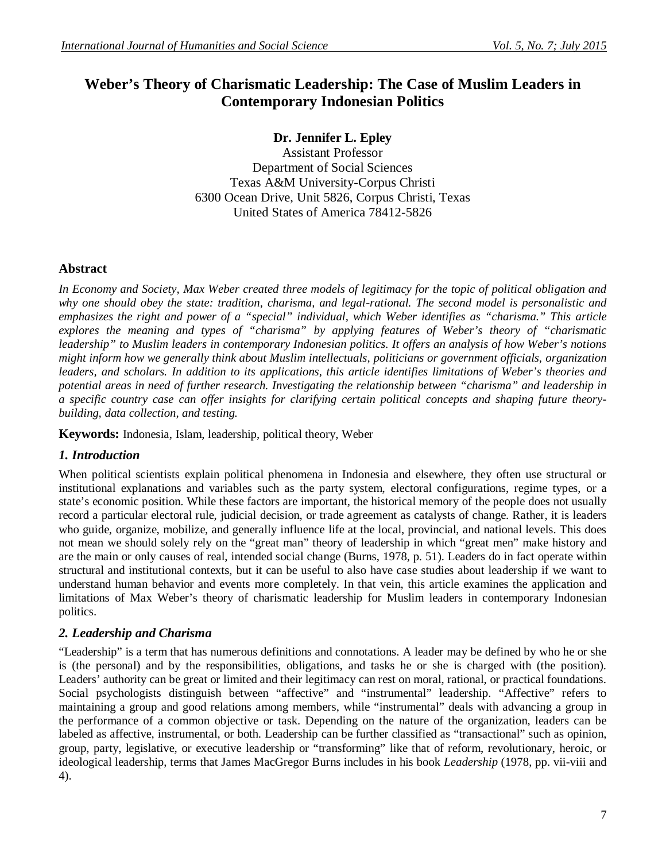# **Weber's Theory of Charismatic Leadership: The Case of Muslim Leaders in Contemporary Indonesian Politics**

## **Dr. Jennifer L. Epley**

Assistant Professor Department of Social Sciences Texas A&M University-Corpus Christi 6300 Ocean Drive, Unit 5826, Corpus Christi, Texas United States of America 78412-5826

### **Abstract**

*In Economy and Society, Max Weber created three models of legitimacy for the topic of political obligation and why one should obey the state: tradition, charisma, and legal-rational. The second model is personalistic and emphasizes the right and power of a "special" individual, which Weber identifies as "charisma." This article explores the meaning and types of "charisma" by applying features of Weber's theory of "charismatic leadership" to Muslim leaders in contemporary Indonesian politics. It offers an analysis of how Weber's notions might inform how we generally think about Muslim intellectuals, politicians or government officials, organization leaders, and scholars. In addition to its applications, this article identifies limitations of Weber's theories and potential areas in need of further research. Investigating the relationship between "charisma" and leadership in a specific country case can offer insights for clarifying certain political concepts and shaping future theorybuilding, data collection, and testing.* 

**Keywords:** Indonesia, Islam, leadership, political theory, Weber

### *1. Introduction*

When political scientists explain political phenomena in Indonesia and elsewhere, they often use structural or institutional explanations and variables such as the party system, electoral configurations, regime types, or a state's economic position. While these factors are important, the historical memory of the people does not usually record a particular electoral rule, judicial decision, or trade agreement as catalysts of change. Rather, it is leaders who guide, organize, mobilize, and generally influence life at the local, provincial, and national levels. This does not mean we should solely rely on the "great man" theory of leadership in which "great men" make history and are the main or only causes of real, intended social change (Burns, 1978, p. 51). Leaders do in fact operate within structural and institutional contexts, but it can be useful to also have case studies about leadership if we want to understand human behavior and events more completely. In that vein, this article examines the application and limitations of Max Weber's theory of charismatic leadership for Muslim leaders in contemporary Indonesian politics.

### *2. Leadership and Charisma*

"Leadership" is a term that has numerous definitions and connotations. A leader may be defined by who he or she is (the personal) and by the responsibilities, obligations, and tasks he or she is charged with (the position). Leaders' authority can be great or limited and their legitimacy can rest on moral, rational, or practical foundations. Social psychologists distinguish between "affective" and "instrumental" leadership. "Affective" refers to maintaining a group and good relations among members, while "instrumental" deals with advancing a group in the performance of a common objective or task. Depending on the nature of the organization, leaders can be labeled as affective, instrumental, or both. Leadership can be further classified as "transactional" such as opinion, group, party, legislative, or executive leadership or "transforming" like that of reform, revolutionary, heroic, or ideological leadership, terms that James MacGregor Burns includes in his book *Leadership* (1978, pp. vii-viii and 4).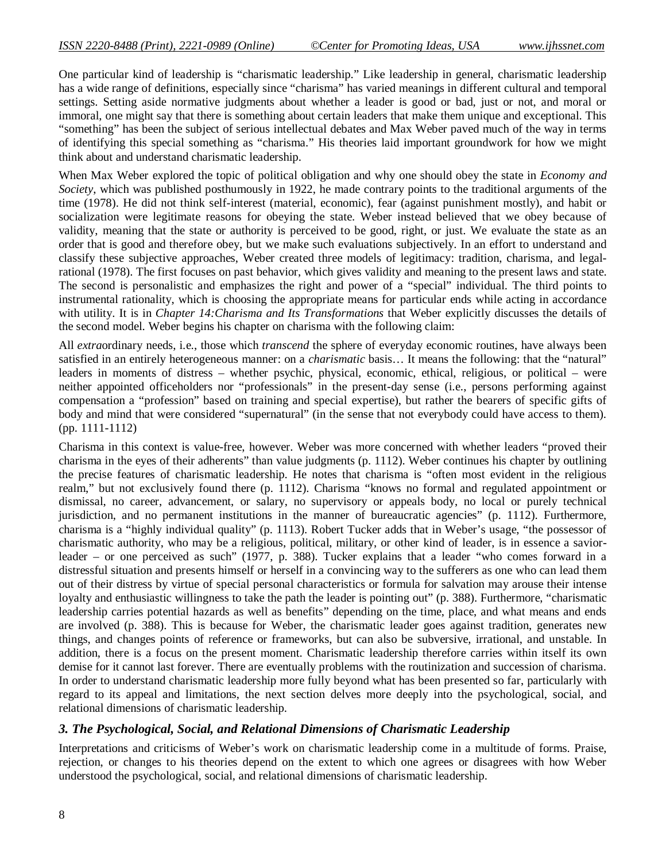One particular kind of leadership is "charismatic leadership." Like leadership in general, charismatic leadership has a wide range of definitions, especially since "charisma" has varied meanings in different cultural and temporal settings. Setting aside normative judgments about whether a leader is good or bad, just or not, and moral or immoral, one might say that there is something about certain leaders that make them unique and exceptional. This "something" has been the subject of serious intellectual debates and Max Weber paved much of the way in terms of identifying this special something as "charisma." His theories laid important groundwork for how we might think about and understand charismatic leadership.

When Max Weber explored the topic of political obligation and why one should obey the state in *Economy and Society*, which was published posthumously in 1922, he made contrary points to the traditional arguments of the time (1978). He did not think self-interest (material, economic), fear (against punishment mostly), and habit or socialization were legitimate reasons for obeying the state. Weber instead believed that we obey because of validity, meaning that the state or authority is perceived to be good, right, or just. We evaluate the state as an order that is good and therefore obey, but we make such evaluations subjectively. In an effort to understand and classify these subjective approaches, Weber created three models of legitimacy: tradition, charisma, and legalrational (1978). The first focuses on past behavior, which gives validity and meaning to the present laws and state. The second is personalistic and emphasizes the right and power of a "special" individual. The third points to instrumental rationality, which is choosing the appropriate means for particular ends while acting in accordance with utility. It is in *Chapter 14:Charisma and Its Transformations* that Weber explicitly discusses the details of the second model. Weber begins his chapter on charisma with the following claim:

All *extra*ordinary needs, i.e., those which *transcend* the sphere of everyday economic routines, have always been satisfied in an entirely heterogeneous manner: on a *charismatic* basis… It means the following: that the "natural" leaders in moments of distress – whether psychic, physical, economic, ethical, religious, or political – were neither appointed officeholders nor "professionals" in the present-day sense (i.e., persons performing against compensation a "profession" based on training and special expertise), but rather the bearers of specific gifts of body and mind that were considered "supernatural" (in the sense that not everybody could have access to them). (pp. 1111-1112)

Charisma in this context is value-free, however. Weber was more concerned with whether leaders "proved their charisma in the eyes of their adherents" than value judgments (p. 1112). Weber continues his chapter by outlining the precise features of charismatic leadership. He notes that charisma is "often most evident in the religious realm," but not exclusively found there (p. 1112). Charisma "knows no formal and regulated appointment or dismissal, no career, advancement, or salary, no supervisory or appeals body, no local or purely technical jurisdiction, and no permanent institutions in the manner of bureaucratic agencies" (p. 1112). Furthermore, charisma is a "highly individual quality" (p. 1113). Robert Tucker adds that in Weber's usage, "the possessor of charismatic authority, who may be a religious, political, military, or other kind of leader, is in essence a saviorleader – or one perceived as such" (1977, p. 388). Tucker explains that a leader "who comes forward in a distressful situation and presents himself or herself in a convincing way to the sufferers as one who can lead them out of their distress by virtue of special personal characteristics or formula for salvation may arouse their intense loyalty and enthusiastic willingness to take the path the leader is pointing out" (p. 388). Furthermore, "charismatic leadership carries potential hazards as well as benefits" depending on the time, place, and what means and ends are involved (p. 388). This is because for Weber, the charismatic leader goes against tradition, generates new things, and changes points of reference or frameworks, but can also be subversive, irrational, and unstable. In addition, there is a focus on the present moment. Charismatic leadership therefore carries within itself its own demise for it cannot last forever. There are eventually problems with the routinization and succession of charisma. In order to understand charismatic leadership more fully beyond what has been presented so far, particularly with regard to its appeal and limitations, the next section delves more deeply into the psychological, social, and relational dimensions of charismatic leadership.

# *3. The Psychological, Social, and Relational Dimensions of Charismatic Leadership*

Interpretations and criticisms of Weber's work on charismatic leadership come in a multitude of forms. Praise, rejection, or changes to his theories depend on the extent to which one agrees or disagrees with how Weber understood the psychological, social, and relational dimensions of charismatic leadership.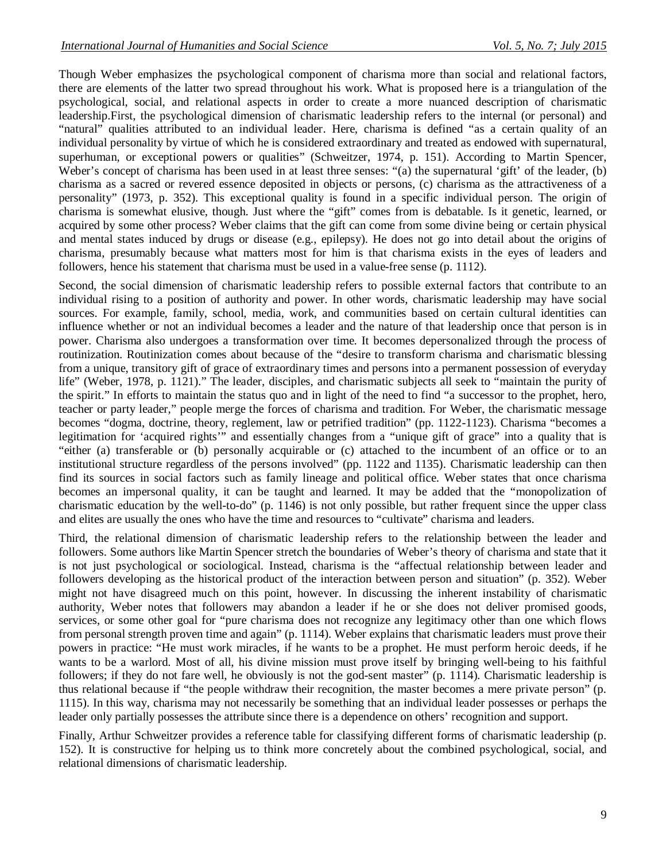Though Weber emphasizes the psychological component of charisma more than social and relational factors, there are elements of the latter two spread throughout his work. What is proposed here is a triangulation of the psychological, social, and relational aspects in order to create a more nuanced description of charismatic leadership.First, the psychological dimension of charismatic leadership refers to the internal (or personal) and "natural" qualities attributed to an individual leader. Here, charisma is defined "as a certain quality of an individual personality by virtue of which he is considered extraordinary and treated as endowed with supernatural, superhuman, or exceptional powers or qualities" (Schweitzer, 1974, p. 151). According to Martin Spencer, Weber's concept of charisma has been used in at least three senses: "(a) the supernatural 'gift' of the leader, (b) charisma as a sacred or revered essence deposited in objects or persons, (c) charisma as the attractiveness of a personality" (1973, p. 352). This exceptional quality is found in a specific individual person. The origin of charisma is somewhat elusive, though. Just where the "gift" comes from is debatable. Is it genetic, learned, or acquired by some other process? Weber claims that the gift can come from some divine being or certain physical and mental states induced by drugs or disease (e.g., epilepsy). He does not go into detail about the origins of charisma, presumably because what matters most for him is that charisma exists in the eyes of leaders and followers, hence his statement that charisma must be used in a value-free sense (p. 1112).

Second, the social dimension of charismatic leadership refers to possible external factors that contribute to an individual rising to a position of authority and power. In other words, charismatic leadership may have social sources. For example, family, school, media, work, and communities based on certain cultural identities can influence whether or not an individual becomes a leader and the nature of that leadership once that person is in power. Charisma also undergoes a transformation over time. It becomes depersonalized through the process of routinization. Routinization comes about because of the "desire to transform charisma and charismatic blessing from a unique, transitory gift of grace of extraordinary times and persons into a permanent possession of everyday life" (Weber, 1978, p. 1121)." The leader, disciples, and charismatic subjects all seek to "maintain the purity of the spirit." In efforts to maintain the status quo and in light of the need to find "a successor to the prophet, hero, teacher or party leader," people merge the forces of charisma and tradition. For Weber, the charismatic message becomes "dogma, doctrine, theory, reglement, law or petrified tradition" (pp. 1122-1123). Charisma "becomes a legitimation for 'acquired rights'" and essentially changes from a "unique gift of grace" into a quality that is "either (a) transferable or (b) personally acquirable or (c) attached to the incumbent of an office or to an institutional structure regardless of the persons involved" (pp. 1122 and 1135). Charismatic leadership can then find its sources in social factors such as family lineage and political office. Weber states that once charisma becomes an impersonal quality, it can be taught and learned. It may be added that the "monopolization of charismatic education by the well-to-do" (p. 1146) is not only possible, but rather frequent since the upper class and elites are usually the ones who have the time and resources to "cultivate" charisma and leaders.

Third, the relational dimension of charismatic leadership refers to the relationship between the leader and followers. Some authors like Martin Spencer stretch the boundaries of Weber's theory of charisma and state that it is not just psychological or sociological. Instead, charisma is the "affectual relationship between leader and followers developing as the historical product of the interaction between person and situation" (p. 352). Weber might not have disagreed much on this point, however. In discussing the inherent instability of charismatic authority, Weber notes that followers may abandon a leader if he or she does not deliver promised goods, services, or some other goal for "pure charisma does not recognize any legitimacy other than one which flows from personal strength proven time and again" (p. 1114). Weber explains that charismatic leaders must prove their powers in practice: "He must work miracles, if he wants to be a prophet. He must perform heroic deeds, if he wants to be a warlord. Most of all, his divine mission must prove itself by bringing well-being to his faithful followers; if they do not fare well, he obviously is not the god-sent master" (p. 1114). Charismatic leadership is thus relational because if "the people withdraw their recognition, the master becomes a mere private person" (p. 1115). In this way, charisma may not necessarily be something that an individual leader possesses or perhaps the leader only partially possesses the attribute since there is a dependence on others' recognition and support.

Finally, Arthur Schweitzer provides a reference table for classifying different forms of charismatic leadership (p. 152). It is constructive for helping us to think more concretely about the combined psychological, social, and relational dimensions of charismatic leadership.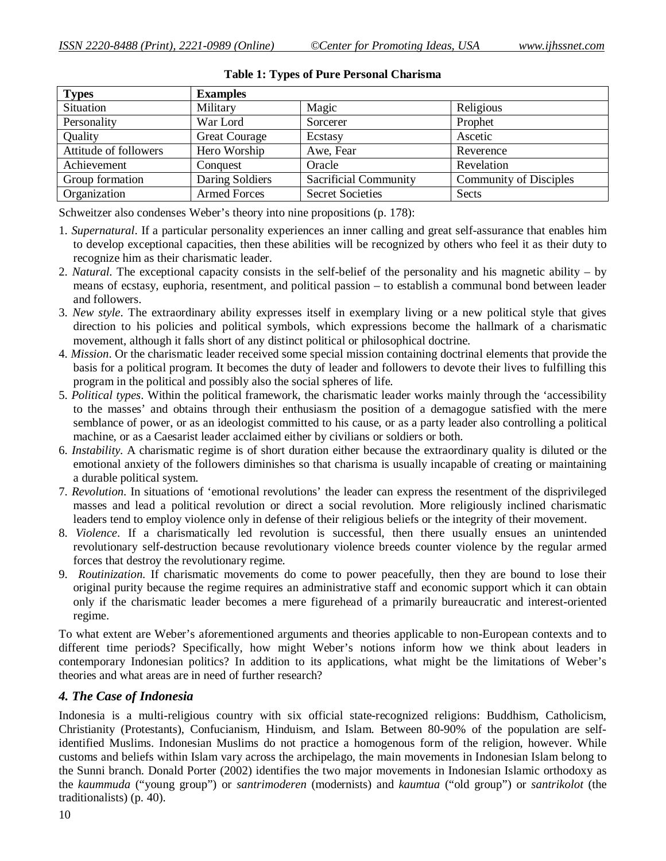| <b>Types</b>          | <b>Examples</b>      |                              |                               |
|-----------------------|----------------------|------------------------------|-------------------------------|
| Situation             | Military             | Magic                        | Religious                     |
| Personality           | War Lord             | Sorcerer                     | Prophet                       |
| Quality               | <b>Great Courage</b> | Ecstasy                      | Ascetic                       |
| Attitude of followers | Hero Worship         | Awe, Fear                    | Reverence                     |
| Achievement           | Conquest             | Oracle                       | Revelation                    |
| Group formation       | Daring Soldiers      | <b>Sacrificial Community</b> | <b>Community of Disciples</b> |
| Organization          | <b>Armed Forces</b>  | <b>Secret Societies</b>      | Sects                         |

**Table 1: Types of Pure Personal Charisma**

Schweitzer also condenses Weber's theory into nine propositions (p. 178):

- 1. *Supernatural*. If a particular personality experiences an inner calling and great self-assurance that enables him to develop exceptional capacities, then these abilities will be recognized by others who feel it as their duty to recognize him as their charismatic leader.
- 2. *Natural*. The exceptional capacity consists in the self-belief of the personality and his magnetic ability by means of ecstasy, euphoria, resentment, and political passion – to establish a communal bond between leader and followers.
- 3. *New style*. The extraordinary ability expresses itself in exemplary living or a new political style that gives direction to his policies and political symbols, which expressions become the hallmark of a charismatic movement, although it falls short of any distinct political or philosophical doctrine.
- 4. *Mission*. Or the charismatic leader received some special mission containing doctrinal elements that provide the basis for a political program. It becomes the duty of leader and followers to devote their lives to fulfilling this program in the political and possibly also the social spheres of life.
- 5. *Political types*. Within the political framework, the charismatic leader works mainly through the 'accessibility to the masses' and obtains through their enthusiasm the position of a demagogue satisfied with the mere semblance of power, or as an ideologist committed to his cause, or as a party leader also controlling a political machine, or as a Caesarist leader acclaimed either by civilians or soldiers or both.
- 6. *Instability*. A charismatic regime is of short duration either because the extraordinary quality is diluted or the emotional anxiety of the followers diminishes so that charisma is usually incapable of creating or maintaining a durable political system.
- 7. *Revolution*. In situations of 'emotional revolutions' the leader can express the resentment of the disprivileged masses and lead a political revolution or direct a social revolution. More religiously inclined charismatic leaders tend to employ violence only in defense of their religious beliefs or the integrity of their movement.
- 8. *Violence*. If a charismatically led revolution is successful, then there usually ensues an unintended revolutionary self-destruction because revolutionary violence breeds counter violence by the regular armed forces that destroy the revolutionary regime.
- 9. *Routinization*. If charismatic movements do come to power peacefully, then they are bound to lose their original purity because the regime requires an administrative staff and economic support which it can obtain only if the charismatic leader becomes a mere figurehead of a primarily bureaucratic and interest-oriented regime.

To what extent are Weber's aforementioned arguments and theories applicable to non-European contexts and to different time periods? Specifically, how might Weber's notions inform how we think about leaders in contemporary Indonesian politics? In addition to its applications, what might be the limitations of Weber's theories and what areas are in need of further research?

# *4. The Case of Indonesia*

Indonesia is a multi-religious country with six official state-recognized religions: Buddhism, Catholicism, Christianity (Protestants), Confucianism, Hinduism, and Islam. Between 80-90% of the population are selfidentified Muslims. Indonesian Muslims do not practice a homogenous form of the religion, however. While customs and beliefs within Islam vary across the archipelago, the main movements in Indonesian Islam belong to the Sunni branch. Donald Porter (2002) identifies the two major movements in Indonesian Islamic orthodoxy as the *kaummuda* ("young group") or *santrimoderen* (modernists) and *kaumtua* ("old group") or *santrikolot* (the traditionalists) (p. 40).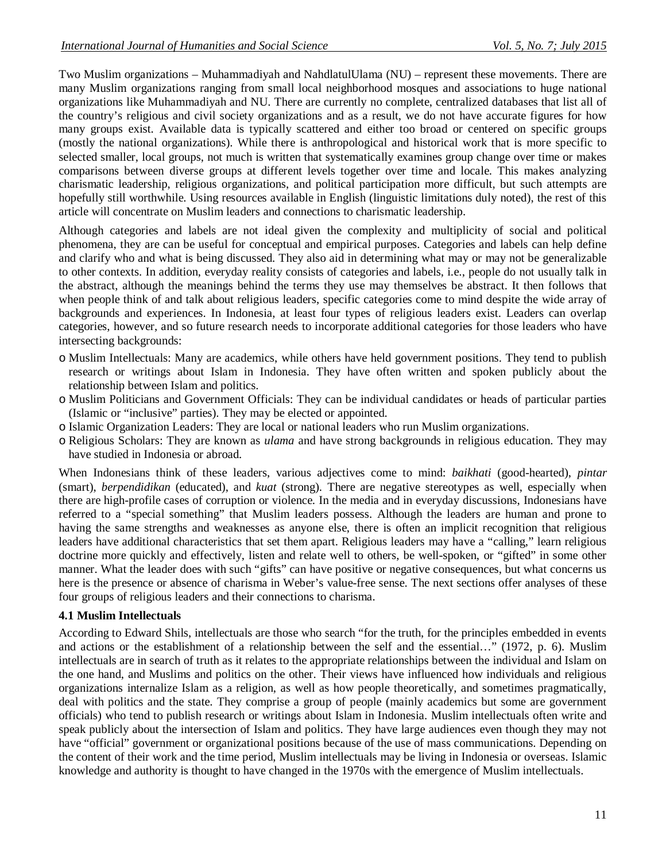Two Muslim organizations – Muhammadiyah and NahdlatulUlama (NU) – represent these movements. There are many Muslim organizations ranging from small local neighborhood mosques and associations to huge national organizations like Muhammadiyah and NU. There are currently no complete, centralized databases that list all of the country's religious and civil society organizations and as a result, we do not have accurate figures for how many groups exist. Available data is typically scattered and either too broad or centered on specific groups (mostly the national organizations). While there is anthropological and historical work that is more specific to selected smaller, local groups, not much is written that systematically examines group change over time or makes comparisons between diverse groups at different levels together over time and locale. This makes analyzing charismatic leadership, religious organizations, and political participation more difficult, but such attempts are hopefully still worthwhile. Using resources available in English (linguistic limitations duly noted), the rest of this article will concentrate on Muslim leaders and connections to charismatic leadership.

Although categories and labels are not ideal given the complexity and multiplicity of social and political phenomena, they are can be useful for conceptual and empirical purposes. Categories and labels can help define and clarify who and what is being discussed. They also aid in determining what may or may not be generalizable to other contexts. In addition, everyday reality consists of categories and labels, i.e., people do not usually talk in the abstract, although the meanings behind the terms they use may themselves be abstract. It then follows that when people think of and talk about religious leaders, specific categories come to mind despite the wide array of backgrounds and experiences. In Indonesia, at least four types of religious leaders exist. Leaders can overlap categories, however, and so future research needs to incorporate additional categories for those leaders who have intersecting backgrounds:

- o Muslim Intellectuals: Many are academics, while others have held government positions. They tend to publish research or writings about Islam in Indonesia. They have often written and spoken publicly about the relationship between Islam and politics.
- o Muslim Politicians and Government Officials: They can be individual candidates or heads of particular parties (Islamic or "inclusive" parties). They may be elected or appointed.
- o Islamic Organization Leaders: They are local or national leaders who run Muslim organizations.
- o Religious Scholars: They are known as *ulama* and have strong backgrounds in religious education. They may have studied in Indonesia or abroad.

When Indonesians think of these leaders, various adjectives come to mind: *baikhati* (good-hearted), *pintar* (smart), *berpendidikan* (educated), and *kuat* (strong). There are negative stereotypes as well, especially when there are high-profile cases of corruption or violence. In the media and in everyday discussions, Indonesians have referred to a "special something" that Muslim leaders possess. Although the leaders are human and prone to having the same strengths and weaknesses as anyone else, there is often an implicit recognition that religious leaders have additional characteristics that set them apart. Religious leaders may have a "calling," learn religious doctrine more quickly and effectively, listen and relate well to others, be well-spoken, or "gifted" in some other manner. What the leader does with such "gifts" can have positive or negative consequences, but what concerns us here is the presence or absence of charisma in Weber's value-free sense. The next sections offer analyses of these four groups of religious leaders and their connections to charisma.

### **4.1 Muslim Intellectuals**

According to Edward Shils, intellectuals are those who search "for the truth, for the principles embedded in events and actions or the establishment of a relationship between the self and the essential…" (1972, p. 6). Muslim intellectuals are in search of truth as it relates to the appropriate relationships between the individual and Islam on the one hand, and Muslims and politics on the other. Their views have influenced how individuals and religious organizations internalize Islam as a religion, as well as how people theoretically, and sometimes pragmatically, deal with politics and the state. They comprise a group of people (mainly academics but some are government officials) who tend to publish research or writings about Islam in Indonesia. Muslim intellectuals often write and speak publicly about the intersection of Islam and politics. They have large audiences even though they may not have "official" government or organizational positions because of the use of mass communications. Depending on the content of their work and the time period, Muslim intellectuals may be living in Indonesia or overseas. Islamic knowledge and authority is thought to have changed in the 1970s with the emergence of Muslim intellectuals.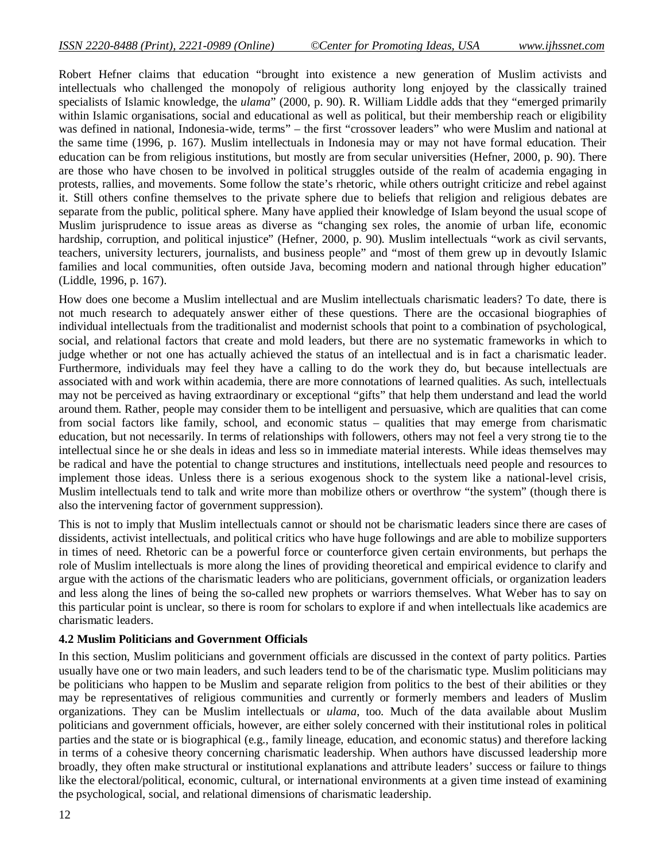Robert Hefner claims that education "brought into existence a new generation of Muslim activists and intellectuals who challenged the monopoly of religious authority long enjoyed by the classically trained specialists of Islamic knowledge, the *ulama*" (2000, p. 90). R. William Liddle adds that they "emerged primarily within Islamic organisations, social and educational as well as political, but their membership reach or eligibility was defined in national, Indonesia-wide, terms" – the first "crossover leaders" who were Muslim and national at the same time (1996, p. 167). Muslim intellectuals in Indonesia may or may not have formal education. Their education can be from religious institutions, but mostly are from secular universities (Hefner, 2000, p. 90). There are those who have chosen to be involved in political struggles outside of the realm of academia engaging in protests, rallies, and movements. Some follow the state's rhetoric, while others outright criticize and rebel against it. Still others confine themselves to the private sphere due to beliefs that religion and religious debates are separate from the public, political sphere. Many have applied their knowledge of Islam beyond the usual scope of Muslim jurisprudence to issue areas as diverse as "changing sex roles, the anomie of urban life, economic hardship, corruption, and political injustice" (Hefner, 2000, p. 90). Muslim intellectuals "work as civil servants, teachers, university lecturers, journalists, and business people" and "most of them grew up in devoutly Islamic families and local communities, often outside Java, becoming modern and national through higher education" (Liddle, 1996, p. 167).

How does one become a Muslim intellectual and are Muslim intellectuals charismatic leaders? To date, there is not much research to adequately answer either of these questions. There are the occasional biographies of individual intellectuals from the traditionalist and modernist schools that point to a combination of psychological, social, and relational factors that create and mold leaders, but there are no systematic frameworks in which to judge whether or not one has actually achieved the status of an intellectual and is in fact a charismatic leader. Furthermore, individuals may feel they have a calling to do the work they do, but because intellectuals are associated with and work within academia, there are more connotations of learned qualities. As such, intellectuals may not be perceived as having extraordinary or exceptional "gifts" that help them understand and lead the world around them. Rather, people may consider them to be intelligent and persuasive, which are qualities that can come from social factors like family, school, and economic status – qualities that may emerge from charismatic education, but not necessarily. In terms of relationships with followers, others may not feel a very strong tie to the intellectual since he or she deals in ideas and less so in immediate material interests. While ideas themselves may be radical and have the potential to change structures and institutions, intellectuals need people and resources to implement those ideas. Unless there is a serious exogenous shock to the system like a national-level crisis, Muslim intellectuals tend to talk and write more than mobilize others or overthrow "the system" (though there is also the intervening factor of government suppression).

This is not to imply that Muslim intellectuals cannot or should not be charismatic leaders since there are cases of dissidents, activist intellectuals, and political critics who have huge followings and are able to mobilize supporters in times of need. Rhetoric can be a powerful force or counterforce given certain environments, but perhaps the role of Muslim intellectuals is more along the lines of providing theoretical and empirical evidence to clarify and argue with the actions of the charismatic leaders who are politicians, government officials, or organization leaders and less along the lines of being the so-called new prophets or warriors themselves. What Weber has to say on this particular point is unclear, so there is room for scholars to explore if and when intellectuals like academics are charismatic leaders.

### **4.2 Muslim Politicians and Government Officials**

In this section, Muslim politicians and government officials are discussed in the context of party politics. Parties usually have one or two main leaders, and such leaders tend to be of the charismatic type. Muslim politicians may be politicians who happen to be Muslim and separate religion from politics to the best of their abilities or they may be representatives of religious communities and currently or formerly members and leaders of Muslim organizations. They can be Muslim intellectuals or *ulama*, too. Much of the data available about Muslim politicians and government officials, however, are either solely concerned with their institutional roles in political parties and the state or is biographical (e.g., family lineage, education, and economic status) and therefore lacking in terms of a cohesive theory concerning charismatic leadership. When authors have discussed leadership more broadly, they often make structural or institutional explanations and attribute leaders' success or failure to things like the electoral/political, economic, cultural, or international environments at a given time instead of examining the psychological, social, and relational dimensions of charismatic leadership.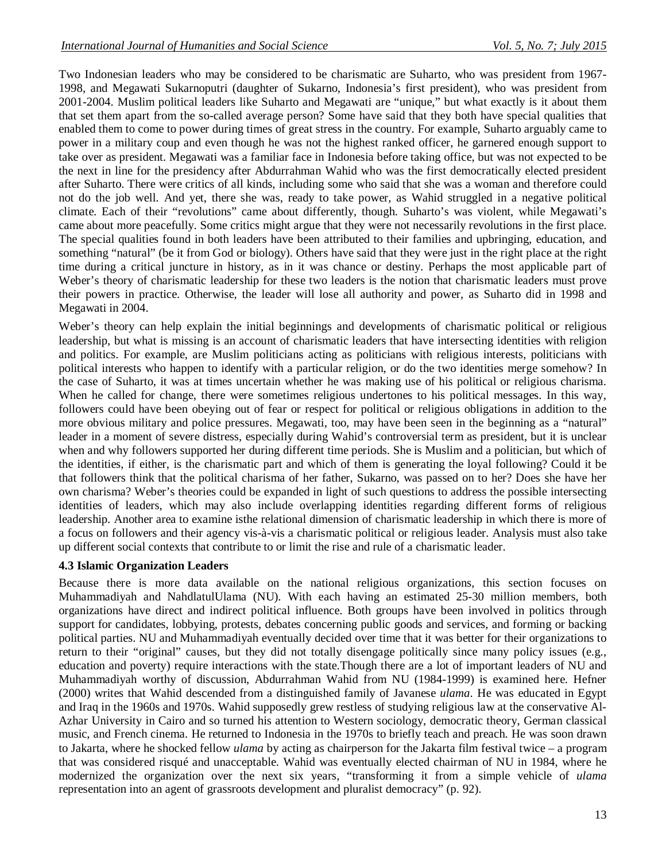Two Indonesian leaders who may be considered to be charismatic are Suharto, who was president from 1967- 1998, and Megawati Sukarnoputri (daughter of Sukarno, Indonesia's first president), who was president from 2001-2004. Muslim political leaders like Suharto and Megawati are "unique," but what exactly is it about them that set them apart from the so-called average person? Some have said that they both have special qualities that enabled them to come to power during times of great stress in the country. For example, Suharto arguably came to power in a military coup and even though he was not the highest ranked officer, he garnered enough support to take over as president. Megawati was a familiar face in Indonesia before taking office, but was not expected to be the next in line for the presidency after Abdurrahman Wahid who was the first democratically elected president after Suharto. There were critics of all kinds, including some who said that she was a woman and therefore could not do the job well. And yet, there she was, ready to take power, as Wahid struggled in a negative political climate. Each of their "revolutions" came about differently, though. Suharto's was violent, while Megawati's came about more peacefully. Some critics might argue that they were not necessarily revolutions in the first place. The special qualities found in both leaders have been attributed to their families and upbringing, education, and something "natural" (be it from God or biology). Others have said that they were just in the right place at the right time during a critical juncture in history, as in it was chance or destiny. Perhaps the most applicable part of Weber's theory of charismatic leadership for these two leaders is the notion that charismatic leaders must prove their powers in practice. Otherwise, the leader will lose all authority and power, as Suharto did in 1998 and Megawati in 2004.

Weber's theory can help explain the initial beginnings and developments of charismatic political or religious leadership, but what is missing is an account of charismatic leaders that have intersecting identities with religion and politics. For example, are Muslim politicians acting as politicians with religious interests, politicians with political interests who happen to identify with a particular religion, or do the two identities merge somehow? In the case of Suharto, it was at times uncertain whether he was making use of his political or religious charisma. When he called for change, there were sometimes religious undertones to his political messages. In this way, followers could have been obeying out of fear or respect for political or religious obligations in addition to the more obvious military and police pressures. Megawati, too, may have been seen in the beginning as a "natural" leader in a moment of severe distress, especially during Wahid's controversial term as president, but it is unclear when and why followers supported her during different time periods. She is Muslim and a politician, but which of the identities, if either, is the charismatic part and which of them is generating the loyal following? Could it be that followers think that the political charisma of her father, Sukarno, was passed on to her? Does she have her own charisma? Weber's theories could be expanded in light of such questions to address the possible intersecting identities of leaders, which may also include overlapping identities regarding different forms of religious leadership. Another area to examine isthe relational dimension of charismatic leadership in which there is more of a focus on followers and their agency vis-à-vis a charismatic political or religious leader. Analysis must also take up different social contexts that contribute to or limit the rise and rule of a charismatic leader.

#### **4.3 Islamic Organization Leaders**

Because there is more data available on the national religious organizations, this section focuses on Muhammadiyah and NahdlatulUlama (NU). With each having an estimated 25-30 million members, both organizations have direct and indirect political influence. Both groups have been involved in politics through support for candidates, lobbying, protests, debates concerning public goods and services, and forming or backing political parties. NU and Muhammadiyah eventually decided over time that it was better for their organizations to return to their "original" causes, but they did not totally disengage politically since many policy issues (e.g., education and poverty) require interactions with the state.Though there are a lot of important leaders of NU and Muhammadiyah worthy of discussion, Abdurrahman Wahid from NU (1984-1999) is examined here. Hefner (2000) writes that Wahid descended from a distinguished family of Javanese *ulama*. He was educated in Egypt and Iraq in the 1960s and 1970s. Wahid supposedly grew restless of studying religious law at the conservative Al-Azhar University in Cairo and so turned his attention to Western sociology, democratic theory, German classical music, and French cinema. He returned to Indonesia in the 1970s to briefly teach and preach. He was soon drawn to Jakarta, where he shocked fellow *ulama* by acting as chairperson for the Jakarta film festival twice – a program that was considered risqué and unacceptable. Wahid was eventually elected chairman of NU in 1984, where he modernized the organization over the next six years, "transforming it from a simple vehicle of *ulama* representation into an agent of grassroots development and pluralist democracy" (p. 92).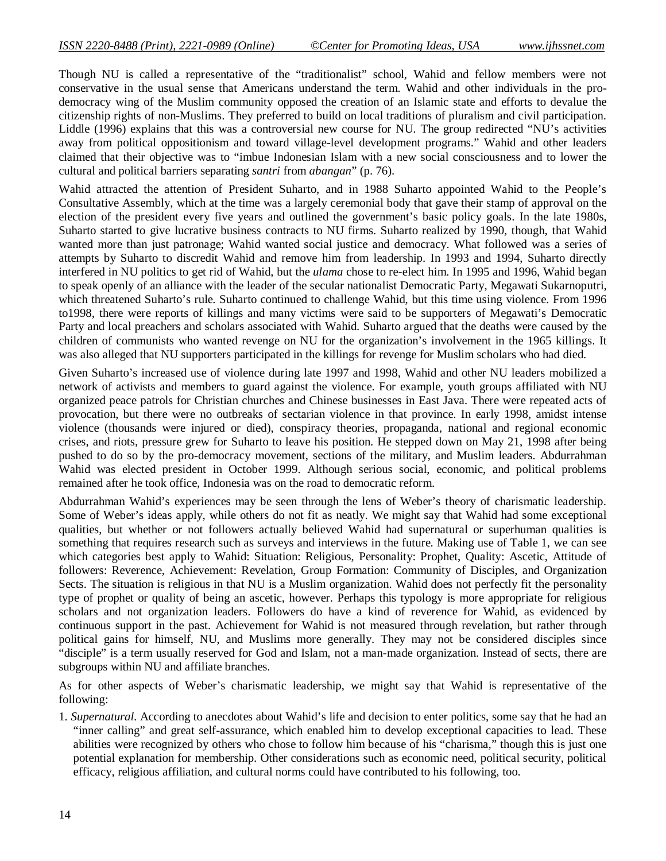Though NU is called a representative of the "traditionalist" school, Wahid and fellow members were not conservative in the usual sense that Americans understand the term. Wahid and other individuals in the prodemocracy wing of the Muslim community opposed the creation of an Islamic state and efforts to devalue the citizenship rights of non-Muslims. They preferred to build on local traditions of pluralism and civil participation. Liddle (1996) explains that this was a controversial new course for NU. The group redirected "NU's activities away from political oppositionism and toward village-level development programs." Wahid and other leaders claimed that their objective was to "imbue Indonesian Islam with a new social consciousness and to lower the cultural and political barriers separating *santri* from *abangan*" (p. 76).

Wahid attracted the attention of President Suharto, and in 1988 Suharto appointed Wahid to the People's Consultative Assembly, which at the time was a largely ceremonial body that gave their stamp of approval on the election of the president every five years and outlined the government's basic policy goals. In the late 1980s, Suharto started to give lucrative business contracts to NU firms. Suharto realized by 1990, though, that Wahid wanted more than just patronage; Wahid wanted social justice and democracy. What followed was a series of attempts by Suharto to discredit Wahid and remove him from leadership. In 1993 and 1994, Suharto directly interfered in NU politics to get rid of Wahid, but the *ulama* chose to re-elect him. In 1995 and 1996, Wahid began to speak openly of an alliance with the leader of the secular nationalist Democratic Party, Megawati Sukarnoputri, which threatened Suharto's rule. Suharto continued to challenge Wahid, but this time using violence. From 1996 to1998, there were reports of killings and many victims were said to be supporters of Megawati's Democratic Party and local preachers and scholars associated with Wahid. Suharto argued that the deaths were caused by the children of communists who wanted revenge on NU for the organization's involvement in the 1965 killings. It was also alleged that NU supporters participated in the killings for revenge for Muslim scholars who had died.

Given Suharto's increased use of violence during late 1997 and 1998, Wahid and other NU leaders mobilized a network of activists and members to guard against the violence. For example, youth groups affiliated with NU organized peace patrols for Christian churches and Chinese businesses in East Java. There were repeated acts of provocation, but there were no outbreaks of sectarian violence in that province. In early 1998, amidst intense violence (thousands were injured or died), conspiracy theories, propaganda, national and regional economic crises, and riots, pressure grew for Suharto to leave his position. He stepped down on May 21, 1998 after being pushed to do so by the pro-democracy movement, sections of the military, and Muslim leaders. Abdurrahman Wahid was elected president in October 1999. Although serious social, economic, and political problems remained after he took office, Indonesia was on the road to democratic reform.

Abdurrahman Wahid's experiences may be seen through the lens of Weber's theory of charismatic leadership. Some of Weber's ideas apply, while others do not fit as neatly. We might say that Wahid had some exceptional qualities, but whether or not followers actually believed Wahid had supernatural or superhuman qualities is something that requires research such as surveys and interviews in the future. Making use of Table 1, we can see which categories best apply to Wahid: Situation: Religious, Personality: Prophet, Quality: Ascetic, Attitude of followers: Reverence, Achievement: Revelation, Group Formation: Community of Disciples, and Organization Sects. The situation is religious in that NU is a Muslim organization. Wahid does not perfectly fit the personality type of prophet or quality of being an ascetic, however. Perhaps this typology is more appropriate for religious scholars and not organization leaders. Followers do have a kind of reverence for Wahid, as evidenced by continuous support in the past. Achievement for Wahid is not measured through revelation, but rather through political gains for himself, NU, and Muslims more generally. They may not be considered disciples since "disciple" is a term usually reserved for God and Islam, not a man-made organization. Instead of sects, there are subgroups within NU and affiliate branches.

As for other aspects of Weber's charismatic leadership, we might say that Wahid is representative of the following:

1. *Supernatural*. According to anecdotes about Wahid's life and decision to enter politics, some say that he had an "inner calling" and great self-assurance, which enabled him to develop exceptional capacities to lead. These abilities were recognized by others who chose to follow him because of his "charisma," though this is just one potential explanation for membership. Other considerations such as economic need, political security, political efficacy, religious affiliation, and cultural norms could have contributed to his following, too.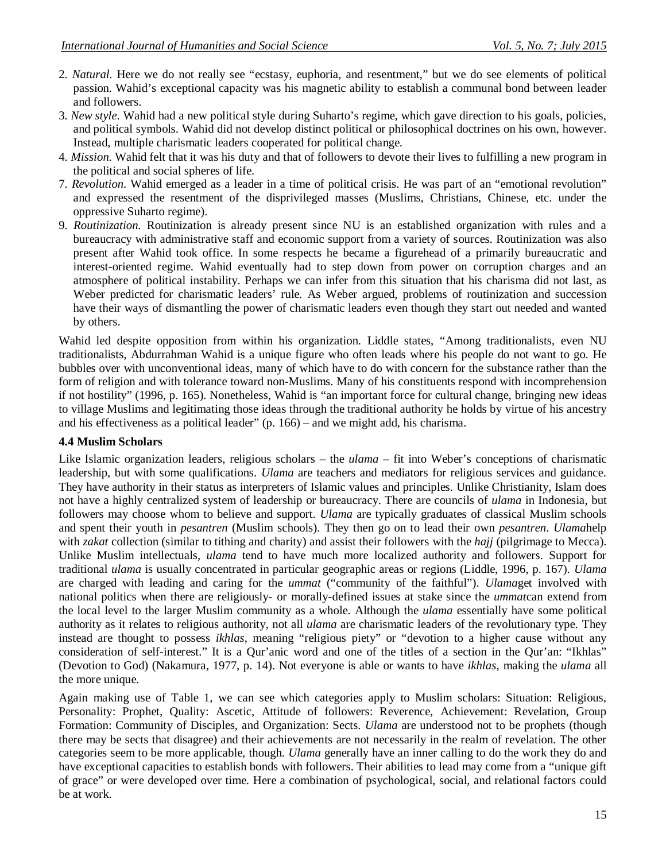- 2. *Natural*. Here we do not really see "ecstasy, euphoria, and resentment," but we do see elements of political passion. Wahid's exceptional capacity was his magnetic ability to establish a communal bond between leader and followers.
- 3. *New style*. Wahid had a new political style during Suharto's regime, which gave direction to his goals, policies, and political symbols. Wahid did not develop distinct political or philosophical doctrines on his own, however. Instead, multiple charismatic leaders cooperated for political change.
- 4. *Mission*. Wahid felt that it was his duty and that of followers to devote their lives to fulfilling a new program in the political and social spheres of life.
- 7. *Revolution*. Wahid emerged as a leader in a time of political crisis. He was part of an "emotional revolution" and expressed the resentment of the disprivileged masses (Muslims, Christians, Chinese, etc. under the oppressive Suharto regime).
- 9. *Routinization*. Routinization is already present since NU is an established organization with rules and a bureaucracy with administrative staff and economic support from a variety of sources. Routinization was also present after Wahid took office. In some respects he became a figurehead of a primarily bureaucratic and interest-oriented regime. Wahid eventually had to step down from power on corruption charges and an atmosphere of political instability. Perhaps we can infer from this situation that his charisma did not last, as Weber predicted for charismatic leaders' rule. As Weber argued, problems of routinization and succession have their ways of dismantling the power of charismatic leaders even though they start out needed and wanted by others.

Wahid led despite opposition from within his organization. Liddle states, "Among traditionalists, even NU traditionalists, Abdurrahman Wahid is a unique figure who often leads where his people do not want to go. He bubbles over with unconventional ideas, many of which have to do with concern for the substance rather than the form of religion and with tolerance toward non-Muslims. Many of his constituents respond with incomprehension if not hostility" (1996, p. 165). Nonetheless, Wahid is "an important force for cultural change, bringing new ideas to village Muslims and legitimating those ideas through the traditional authority he holds by virtue of his ancestry and his effectiveness as a political leader" (p. 166) – and we might add, his charisma.

### **4.4 Muslim Scholars**

Like Islamic organization leaders, religious scholars – the *ulama* – fit into Weber's conceptions of charismatic leadership, but with some qualifications. *Ulama* are teachers and mediators for religious services and guidance. They have authority in their status as interpreters of Islamic values and principles. Unlike Christianity, Islam does not have a highly centralized system of leadership or bureaucracy. There are councils of *ulama* in Indonesia, but followers may choose whom to believe and support. *Ulama* are typically graduates of classical Muslim schools and spent their youth in *pesantren* (Muslim schools). They then go on to lead their own *pesantren*. *Ulama*help with *zakat* collection (similar to tithing and charity) and assist their followers with the *hajj* (pilgrimage to Mecca). Unlike Muslim intellectuals, *ulama* tend to have much more localized authority and followers. Support for traditional *ulama* is usually concentrated in particular geographic areas or regions (Liddle, 1996, p. 167). *Ulama* are charged with leading and caring for the *ummat* ("community of the faithful"). *Ulama*get involved with national politics when there are religiously- or morally-defined issues at stake since the *ummat*can extend from the local level to the larger Muslim community as a whole. Although the *ulama* essentially have some political authority as it relates to religious authority, not all *ulama* are charismatic leaders of the revolutionary type. They instead are thought to possess *ikhlas*, meaning "religious piety" or "devotion to a higher cause without any consideration of self-interest." It is a Qur'anic word and one of the titles of a section in the Qur'an: "Ikhlas" (Devotion to God) (Nakamura, 1977, p. 14). Not everyone is able or wants to have *ikhlas*, making the *ulama* all the more unique.

Again making use of Table 1, we can see which categories apply to Muslim scholars: Situation: Religious, Personality: Prophet, Quality: Ascetic, Attitude of followers: Reverence, Achievement: Revelation, Group Formation: Community of Disciples, and Organization: Sects. *Ulama* are understood not to be prophets (though there may be sects that disagree) and their achievements are not necessarily in the realm of revelation. The other categories seem to be more applicable, though. *Ulama* generally have an inner calling to do the work they do and have exceptional capacities to establish bonds with followers. Their abilities to lead may come from a "unique gift of grace" or were developed over time. Here a combination of psychological, social, and relational factors could be at work.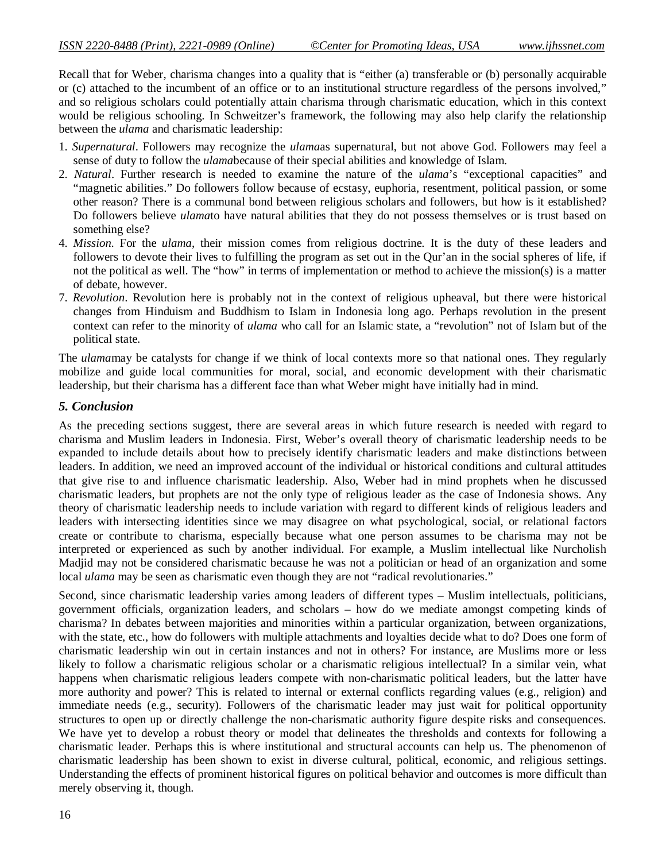Recall that for Weber, charisma changes into a quality that is "either (a) transferable or (b) personally acquirable or (c) attached to the incumbent of an office or to an institutional structure regardless of the persons involved," and so religious scholars could potentially attain charisma through charismatic education, which in this context would be religious schooling. In Schweitzer's framework, the following may also help clarify the relationship between the *ulama* and charismatic leadership:

- 1. *Supernatural*. Followers may recognize the *ulama*as supernatural, but not above God. Followers may feel a sense of duty to follow the *ulama*because of their special abilities and knowledge of Islam.
- 2. *Natural*. Further research is needed to examine the nature of the *ulama*'s "exceptional capacities" and "magnetic abilities." Do followers follow because of ecstasy, euphoria, resentment, political passion, or some other reason? There is a communal bond between religious scholars and followers, but how is it established? Do followers believe *ulama*to have natural abilities that they do not possess themselves or is trust based on something else?
- 4. *Mission*. For the *ulama*, their mission comes from religious doctrine. It is the duty of these leaders and followers to devote their lives to fulfilling the program as set out in the Qur'an in the social spheres of life, if not the political as well. The "how" in terms of implementation or method to achieve the mission(s) is a matter of debate, however.
- 7. *Revolution*. Revolution here is probably not in the context of religious upheaval, but there were historical changes from Hinduism and Buddhism to Islam in Indonesia long ago. Perhaps revolution in the present context can refer to the minority of *ulama* who call for an Islamic state, a "revolution" not of Islam but of the political state.

The *ulama*may be catalysts for change if we think of local contexts more so that national ones. They regularly mobilize and guide local communities for moral, social, and economic development with their charismatic leadership, but their charisma has a different face than what Weber might have initially had in mind.

#### *5. Conclusion*

As the preceding sections suggest, there are several areas in which future research is needed with regard to charisma and Muslim leaders in Indonesia. First, Weber's overall theory of charismatic leadership needs to be expanded to include details about how to precisely identify charismatic leaders and make distinctions between leaders. In addition, we need an improved account of the individual or historical conditions and cultural attitudes that give rise to and influence charismatic leadership. Also, Weber had in mind prophets when he discussed charismatic leaders, but prophets are not the only type of religious leader as the case of Indonesia shows. Any theory of charismatic leadership needs to include variation with regard to different kinds of religious leaders and leaders with intersecting identities since we may disagree on what psychological, social, or relational factors create or contribute to charisma, especially because what one person assumes to be charisma may not be interpreted or experienced as such by another individual. For example, a Muslim intellectual like Nurcholish Madjid may not be considered charismatic because he was not a politician or head of an organization and some local *ulama* may be seen as charismatic even though they are not "radical revolutionaries."

Second, since charismatic leadership varies among leaders of different types – Muslim intellectuals, politicians, government officials, organization leaders, and scholars – how do we mediate amongst competing kinds of charisma? In debates between majorities and minorities within a particular organization, between organizations, with the state, etc., how do followers with multiple attachments and loyalties decide what to do? Does one form of charismatic leadership win out in certain instances and not in others? For instance, are Muslims more or less likely to follow a charismatic religious scholar or a charismatic religious intellectual? In a similar vein, what happens when charismatic religious leaders compete with non-charismatic political leaders, but the latter have more authority and power? This is related to internal or external conflicts regarding values (e.g., religion) and immediate needs (e.g., security). Followers of the charismatic leader may just wait for political opportunity structures to open up or directly challenge the non-charismatic authority figure despite risks and consequences. We have yet to develop a robust theory or model that delineates the thresholds and contexts for following a charismatic leader. Perhaps this is where institutional and structural accounts can help us. The phenomenon of charismatic leadership has been shown to exist in diverse cultural, political, economic, and religious settings. Understanding the effects of prominent historical figures on political behavior and outcomes is more difficult than merely observing it, though.